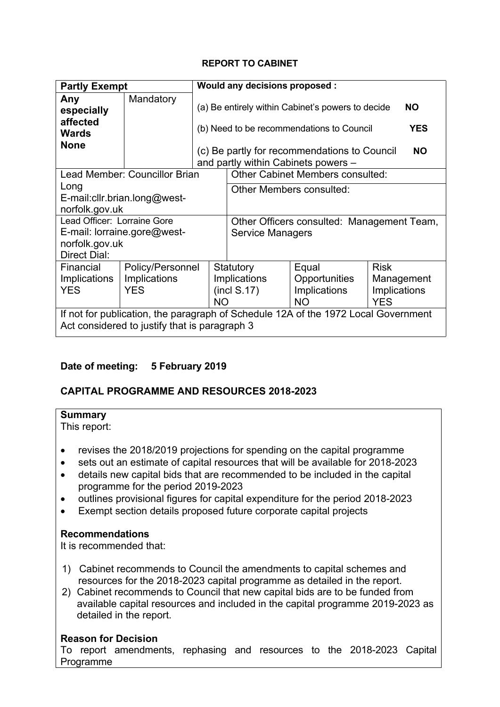## **REPORT TO CABINET**

| <b>Partly Exempt</b>                                                                                                                                      |                                                                                                                                                                                                                                                       |                                                                                                                                                                                                                               | Would any decisions proposed :                                                                    |                                                            |                                                         |  |
|-----------------------------------------------------------------------------------------------------------------------------------------------------------|-------------------------------------------------------------------------------------------------------------------------------------------------------------------------------------------------------------------------------------------------------|-------------------------------------------------------------------------------------------------------------------------------------------------------------------------------------------------------------------------------|---------------------------------------------------------------------------------------------------|------------------------------------------------------------|---------------------------------------------------------|--|
| Any<br>especially<br>affected<br><b>Wards</b><br><b>None</b>                                                                                              | Mandatory                                                                                                                                                                                                                                             | (a) Be entirely within Cabinet's powers to decide<br><b>NO</b><br><b>YES</b><br>(b) Need to be recommendations to Council<br>(c) Be partly for recommendations to Council<br><b>NO</b><br>and partly within Cabinets powers - |                                                                                                   |                                                            |                                                         |  |
|                                                                                                                                                           | Lead Member: Councillor Brian                                                                                                                                                                                                                         |                                                                                                                                                                                                                               |                                                                                                   | <b>Other Cabinet Members consulted:</b>                    |                                                         |  |
| Long<br>E-mail: cllr. brian. long@west-<br>norfolk.gov.uk<br>Lead Officer: Lorraine Gore<br>E-mail: lorraine.gore@west-<br>norfolk.gov.uk<br>Direct Dial: |                                                                                                                                                                                                                                                       |                                                                                                                                                                                                                               | Other Members consulted:<br>Other Officers consulted: Management Team,<br><b>Service Managers</b> |                                                            |                                                         |  |
| Financial<br>Implications<br><b>YES</b>                                                                                                                   | Policy/Personnel<br>Statutory<br>Implications<br><b>Implications</b><br>(incl S.17)<br><b>YES</b><br><b>NO</b><br>If not for publication, the paragraph of Schedule 12A of the 1972 Local Government<br>Act considered to justify that is paragraph 3 |                                                                                                                                                                                                                               |                                                                                                   | Equal<br>Opportunities<br><b>Implications</b><br><b>NO</b> | <b>Risk</b><br>Management<br>Implications<br><b>YES</b> |  |

# **Date of meeting: 5 February 2019**

# **CAPITAL PROGRAMME AND RESOURCES 2018-2023**

## **Summary**

This report:

- revises the 2018/2019 projections for spending on the capital programme
- sets out an estimate of capital resources that will be available for 2018-2023
- details new capital bids that are recommended to be included in the capital programme for the period 2019-2023
- outlines provisional figures for capital expenditure for the period 2018-2023
- Exempt section details proposed future corporate capital projects

## **Recommendations**

It is recommended that:

- 1) Cabinet recommends to Council the amendments to capital schemes and resources for the 2018-2023 capital programme as detailed in the report.
- 2) Cabinet recommends to Council that new capital bids are to be funded from available capital resources and included in the capital programme 2019-2023 as detailed in the report.

# **Reason for Decision**

To report amendments, rephasing and resources to the 2018-2023 Capital Programme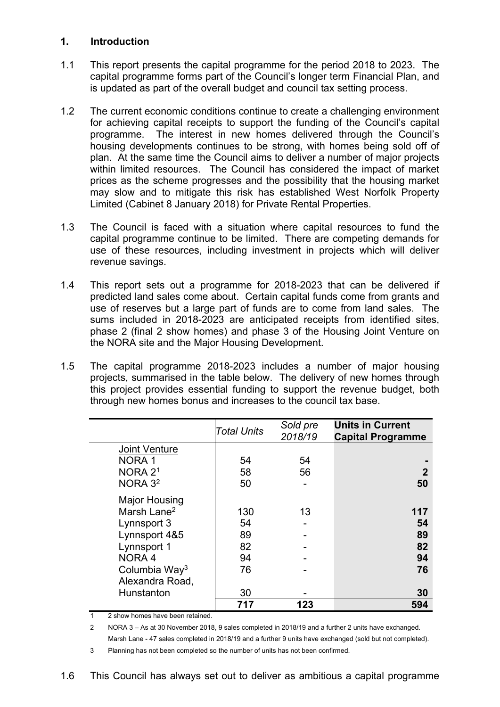## **1. Introduction**

- 1.1 This report presents the capital programme for the period 2018 to 2023. The capital programme forms part of the Council's longer term Financial Plan, and is updated as part of the overall budget and council tax setting process.
- 1.2 The current economic conditions continue to create a challenging environment for achieving capital receipts to support the funding of the Council's capital programme. The interest in new homes delivered through the Council's housing developments continues to be strong, with homes being sold off of plan. At the same time the Council aims to deliver a number of major projects within limited resources. The Council has considered the impact of market prices as the scheme progresses and the possibility that the housing market may slow and to mitigate this risk has established West Norfolk Property Limited (Cabinet 8 January 2018) for Private Rental Properties.
- 1.3 The Council is faced with a situation where capital resources to fund the capital programme continue to be limited. There are competing demands for use of these resources, including investment in projects which will deliver revenue savings.
- 1.4 This report sets out a programme for 2018-2023 that can be delivered if predicted land sales come about. Certain capital funds come from grants and use of reserves but a large part of funds are to come from land sales. The sums included in 2018-2023 are anticipated receipts from identified sites, phase 2 (final 2 show homes) and phase 3 of the Housing Joint Venture on the NORA site and the Major Housing Development.
- 1.5 The capital programme 2018-2023 includes a number of major housing projects, summarised in the table below. The delivery of new homes through this project provides essential funding to support the revenue budget, both through new homes bonus and increases to the council tax base.

|                           | <b>Total Units</b> | Sold pre<br>2018/19 | <b>Units in Current</b><br><b>Capital Programme</b> |
|---------------------------|--------------------|---------------------|-----------------------------------------------------|
| <b>Joint Venture</b>      |                    |                     |                                                     |
| NORA <sub>1</sub>         | 54                 | 54                  |                                                     |
| NORA <sub>21</sub>        | 58                 | 56                  | 2                                                   |
| NORA <sub>32</sub>        | 50                 |                     | 50                                                  |
| <b>Major Housing</b>      |                    |                     |                                                     |
| Marsh Lane <sup>2</sup>   | 130                | 13                  | 117                                                 |
| Lynnsport 3               | 54                 |                     | 54                                                  |
| Lynnsport 4&5             | 89                 |                     | 89                                                  |
| Lynnsport 1               | 82                 |                     | 82                                                  |
| NORA <sub>4</sub>         | 94                 |                     | 94                                                  |
| Columbia Way <sup>3</sup> | 76                 |                     | 76                                                  |
| Alexandra Road,           |                    |                     |                                                     |
| Hunstanton                | 30                 |                     | 30                                                  |
|                           | 717                | 123                 | 594                                                 |

1 2 show homes have been retained.

2 NORA 3 – As at 30 November 2018, 9 sales completed in 2018/19 and a further 2 units have exchanged. Marsh Lane - 47 sales completed in 2018/19 and a further 9 units have exchanged (sold but not completed).

3 Planning has not been completed so the number of units has not been confirmed.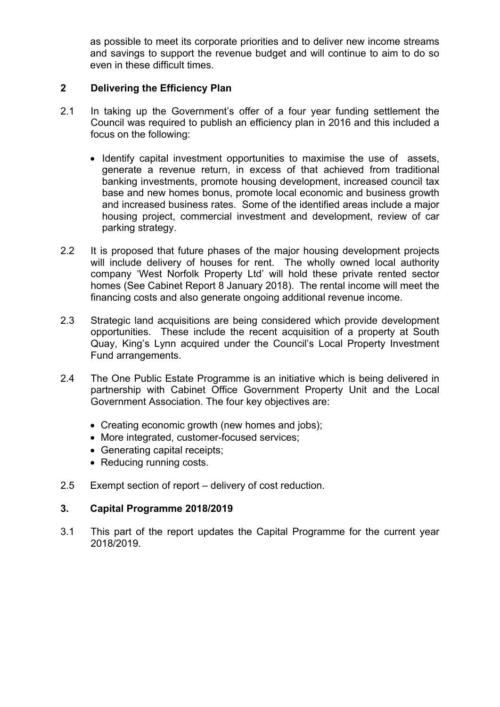as possible to meet its corporate priorities and to deliver new income streams and savings to support the revenue budget and will continue to aim to do so even in these difficult times.

## **2 Delivering the Efficiency Plan**

- 2.1 In taking up the Government's offer of a four year funding settlement the Council was required to publish an efficiency plan in 2016 and this included a focus on the following:
	- Identify capital investment opportunities to maximise the use of assets, generate a revenue return, in excess of that achieved from traditional banking investments, promote housing development, increased council tax base and new homes bonus, promote local economic and business growth and increased business rates. Some of the identified areas include a major housing project, commercial investment and development, review of car parking strategy.
- 2.2 It is proposed that future phases of the major housing development projects will include delivery of houses for rent. The wholly owned local authority company 'West Norfolk Property Ltd' will hold these private rented sector homes (See Cabinet Report 8 January 2018). The rental income will meet the financing costs and also generate ongoing additional revenue income.
- 2.3 Strategic land acquisitions are being considered which provide development opportunities. These include the recent acquisition of a property at South Quay, King's Lynn acquired under the Council's Local Property Investment Fund arrangements.
- 2.4 The One Public Estate Programme is an initiative which is being delivered in partnership with Cabinet Office Government Property Unit and the Local Government Association. The four key objectives are:
	- Creating economic growth (new homes and jobs);
	- More integrated, customer-focused services;
	- Generating capital receipts;
	- Reducing running costs.
- 2.5 Exempt section of report delivery of cost reduction.

#### **3. Capital Programme 2018/2019**

3.1 This part of the report updates the Capital Programme for the current year 2018/2019.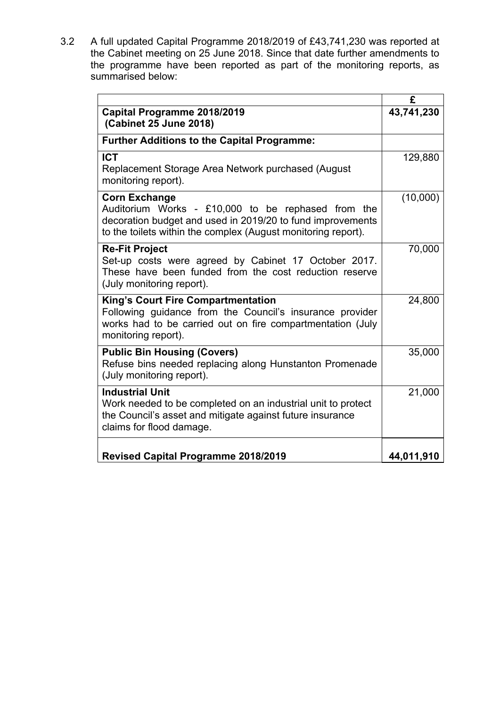3.2 A full updated Capital Programme 2018/2019 of £43,741,230 was reported at the Cabinet meeting on 25 June 2018. Since that date further amendments to the programme have been reported as part of the monitoring reports, as summarised below:

|                                                                                                                                                                                                           | £          |
|-----------------------------------------------------------------------------------------------------------------------------------------------------------------------------------------------------------|------------|
| Capital Programme 2018/2019<br>(Cabinet 25 June 2018)                                                                                                                                                     | 43,741,230 |
| <b>Further Additions to the Capital Programme:</b>                                                                                                                                                        |            |
| <b>ICT</b><br>Replacement Storage Area Network purchased (August<br>monitoring report).                                                                                                                   | 129,880    |
| <b>Corn Exchange</b><br>Auditorium Works - £10,000 to be rephased from the<br>decoration budget and used in 2019/20 to fund improvements<br>to the toilets within the complex (August monitoring report). | (10,000)   |
| <b>Re-Fit Project</b><br>Set-up costs were agreed by Cabinet 17 October 2017.<br>These have been funded from the cost reduction reserve<br>(July monitoring report).                                      | 70,000     |
| <b>King's Court Fire Compartmentation</b><br>Following guidance from the Council's insurance provider<br>works had to be carried out on fire compartmentation (July<br>monitoring report).                | 24,800     |
| <b>Public Bin Housing (Covers)</b><br>Refuse bins needed replacing along Hunstanton Promenade<br>(July monitoring report).                                                                                | 35,000     |
| <b>Industrial Unit</b><br>Work needed to be completed on an industrial unit to protect<br>the Council's asset and mitigate against future insurance<br>claims for flood damage.                           | 21,000     |
| <b>Revised Capital Programme 2018/2019</b>                                                                                                                                                                | 44,011,910 |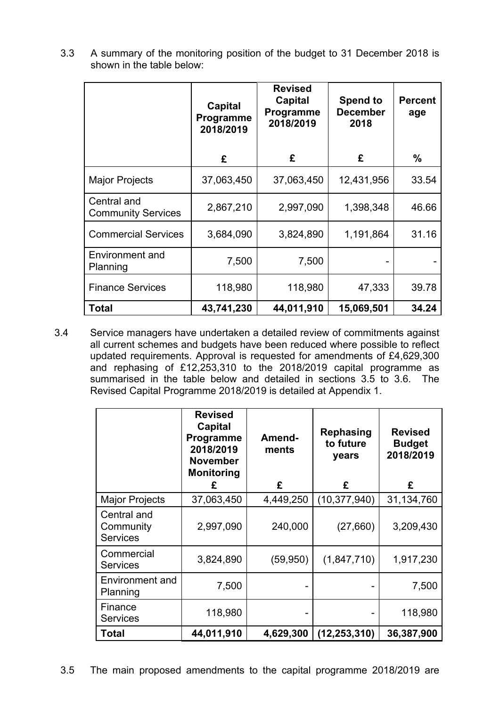|                                          | Capital<br>Programme<br>2018/2019 | <b>Revised</b><br><b>Capital</b><br><b>Programme</b><br>2018/2019 | <b>Spend to</b><br><b>December</b><br>2018 | <b>Percent</b><br>age |
|------------------------------------------|-----------------------------------|-------------------------------------------------------------------|--------------------------------------------|-----------------------|
|                                          | £                                 | £                                                                 | £                                          | $\frac{0}{0}$         |
| <b>Major Projects</b>                    | 37,063,450                        | 37,063,450                                                        | 12,431,956                                 | 33.54                 |
| Central and<br><b>Community Services</b> | 2,867,210                         | 2,997,090                                                         | 1,398,348                                  | 46.66                 |
| <b>Commercial Services</b>               | 3,684,090                         | 3,824,890                                                         | 1,191,864                                  | 31.16                 |
| <b>Environment and</b><br>Planning       | 7,500                             | 7,500                                                             |                                            |                       |
| <b>Finance Services</b>                  | 118,980                           | 118,980                                                           | 47,333                                     | 39.78                 |
| Total                                    | 43,741,230                        | 44,011,910                                                        | 15,069,501                                 | 34.24                 |

3.3 A summary of the monitoring position of the budget to 31 December 2018 is shown in the table below:

3.4 Service managers have undertaken a detailed review of commitments against all current schemes and budgets have been reduced where possible to reflect updated requirements. Approval is requested for amendments of £4,629,300 and rephasing of £12,253,310 to the 2018/2019 capital programme as summarised in the table below and detailed in sections 3.5 to 3.6. The Revised Capital Programme 2018/2019 is detailed at Appendix 1.

|                                             | <b>Revised</b><br><b>Capital</b><br><b>Programme</b><br>2018/2019<br><b>November</b><br><b>Monitoring</b><br>£ | Amend-<br>ments<br>£ | <b>Rephasing</b><br>to future<br>years<br>£ | <b>Revised</b><br><b>Budget</b><br>2018/2019<br>£ |
|---------------------------------------------|----------------------------------------------------------------------------------------------------------------|----------------------|---------------------------------------------|---------------------------------------------------|
| <b>Major Projects</b>                       | 37,063,450                                                                                                     | 4,449,250            | (10, 377, 940)                              | 31,134,760                                        |
| Central and<br>Community<br><b>Services</b> | 2,997,090                                                                                                      | 240,000              | (27, 660)                                   | 3,209,430                                         |
| Commercial<br><b>Services</b>               | 3,824,890                                                                                                      | (59, 950)            | (1,847,710)                                 | 1,917,230                                         |
| Environment and<br>Planning                 | 7,500                                                                                                          |                      |                                             | 7,500                                             |
| Finance<br><b>Services</b>                  | 118,980                                                                                                        | -                    |                                             | 118,980                                           |
| Total                                       | 44,011,910                                                                                                     | 4,629,300            | (12, 253, 310)                              | 36,387,900                                        |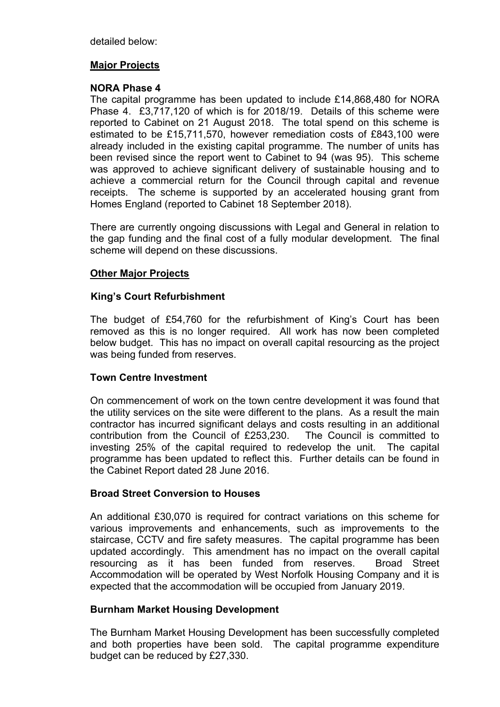detailed below:

## **Major Projects**

## **NORA Phase 4**

The capital programme has been updated to include £14,868,480 for NORA Phase 4. £3,717,120 of which is for 2018/19. Details of this scheme were reported to Cabinet on 21 August 2018. The total spend on this scheme is estimated to be £15,711,570, however remediation costs of £843,100 were already included in the existing capital programme. The number of units has been revised since the report went to Cabinet to 94 (was 95). This scheme was approved to achieve significant delivery of sustainable housing and to achieve a commercial return for the Council through capital and revenue receipts. The scheme is supported by an accelerated housing grant from Homes England (reported to Cabinet 18 September 2018).

There are currently ongoing discussions with Legal and General in relation to the gap funding and the final cost of a fully modular development. The final scheme will depend on these discussions.

## **Other Major Projects**

## **King's Court Refurbishment**

The budget of £54,760 for the refurbishment of King's Court has been removed as this is no longer required. All work has now been completed below budget. This has no impact on overall capital resourcing as the project was being funded from reserves.

## **Town Centre Investment**

On commencement of work on the town centre development it was found that the utility services on the site were different to the plans. As a result the main contractor has incurred significant delays and costs resulting in an additional contribution from the Council of £253,230. The Council is committed to investing 25% of the capital required to redevelop the unit. The capital programme has been updated to reflect this. Further details can be found in the Cabinet Report dated 28 June 2016.

## **Broad Street Conversion to Houses**

An additional £30,070 is required for contract variations on this scheme for various improvements and enhancements, such as improvements to the staircase, CCTV and fire safety measures. The capital programme has been updated accordingly. This amendment has no impact on the overall capital resourcing as it has been funded from reserves. Broad Street Accommodation will be operated by West Norfolk Housing Company and it is expected that the accommodation will be occupied from January 2019.

## **Burnham Market Housing Development**

The Burnham Market Housing Development has been successfully completed and both properties have been sold. The capital programme expenditure budget can be reduced by £27,330.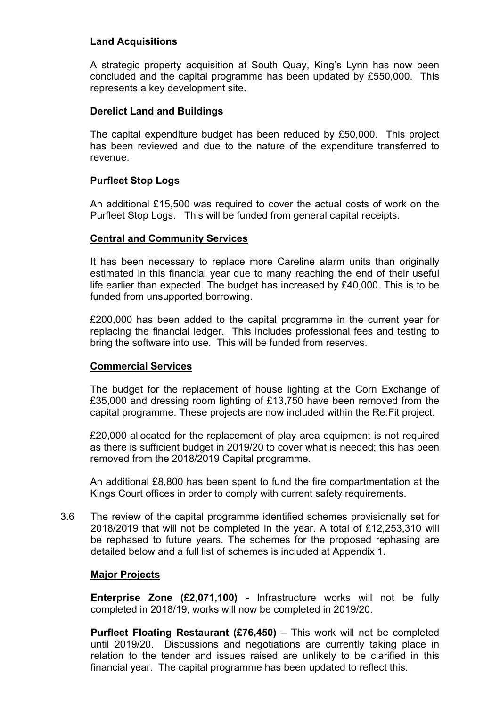## **Land Acquisitions**

A strategic property acquisition at South Quay, King's Lynn has now been concluded and the capital programme has been updated by £550,000. This represents a key development site.

## **Derelict Land and Buildings**

The capital expenditure budget has been reduced by £50,000. This project has been reviewed and due to the nature of the expenditure transferred to revenue.

## **Purfleet Stop Logs**

An additional £15,500 was required to cover the actual costs of work on the Purfleet Stop Logs. This will be funded from general capital receipts.

## **Central and Community Services**

It has been necessary to replace more Careline alarm units than originally estimated in this financial year due to many reaching the end of their useful life earlier than expected. The budget has increased by £40,000. This is to be funded from unsupported borrowing.

£200,000 has been added to the capital programme in the current year for replacing the financial ledger. This includes professional fees and testing to bring the software into use. This will be funded from reserves.

## **Commercial Services**

The budget for the replacement of house lighting at the Corn Exchange of £35,000 and dressing room lighting of £13,750 have been removed from the capital programme. These projects are now included within the Re:Fit project.

£20,000 allocated for the replacement of play area equipment is not required as there is sufficient budget in 2019/20 to cover what is needed; this has been removed from the 2018/2019 Capital programme.

An additional £8,800 has been spent to fund the fire compartmentation at the Kings Court offices in order to comply with current safety requirements.

3.6 The review of the capital programme identified schemes provisionally set for 2018/2019 that will not be completed in the year. A total of £12,253,310 will be rephased to future years. The schemes for the proposed rephasing are detailed below and a full list of schemes is included at Appendix 1.

## **Major Projects**

**Enterprise Zone (£2,071,100) -** Infrastructure works will not be fully completed in 2018/19, works will now be completed in 2019/20.

**Purfleet Floating Restaurant (£76,450)** – This work will not be completed until 2019/20. Discussions and negotiations are currently taking place in relation to the tender and issues raised are unlikely to be clarified in this financial year. The capital programme has been updated to reflect this.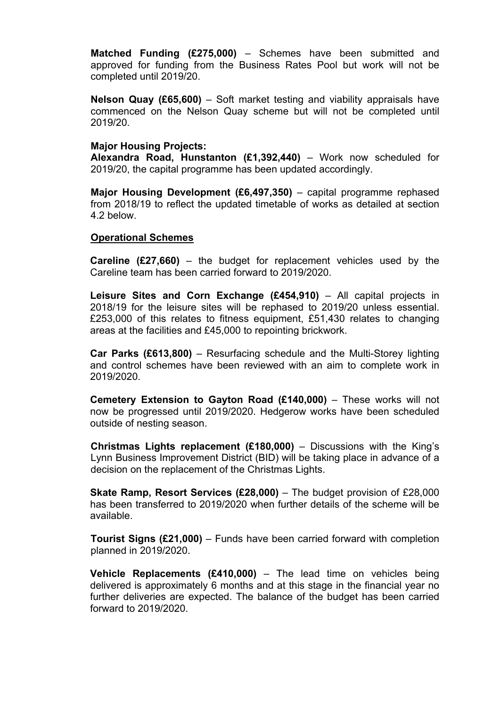**Matched Funding (£275,000)** – Schemes have been submitted and approved for funding from the Business Rates Pool but work will not be completed until 2019/20.

**Nelson Quay (£65,600)** – Soft market testing and viability appraisals have commenced on the Nelson Quay scheme but will not be completed until 2019/20.

#### **Major Housing Projects:**

**Alexandra Road, Hunstanton (£1,392,440)** – Work now scheduled for 2019/20, the capital programme has been updated accordingly.

**Major Housing Development (£6,497,350)** – capital programme rephased from 2018/19 to reflect the updated timetable of works as detailed at section 4.2 below.

#### **Operational Schemes**

**Careline (£27,660)** – the budget for replacement vehicles used by the Careline team has been carried forward to 2019/2020.

**Leisure Sites and Corn Exchange (£454,910)** – All capital projects in 2018/19 for the leisure sites will be rephased to 2019/20 unless essential. £253,000 of this relates to fitness equipment, £51,430 relates to changing areas at the facilities and £45,000 to repointing brickwork.

**Car Parks (£613,800)** – Resurfacing schedule and the Multi-Storey lighting and control schemes have been reviewed with an aim to complete work in 2019/2020.

**Cemetery Extension to Gayton Road (£140,000)** – These works will not now be progressed until 2019/2020. Hedgerow works have been scheduled outside of nesting season.

**Christmas Lights replacement (£180,000)** – Discussions with the King's Lynn Business Improvement District (BID) will be taking place in advance of a decision on the replacement of the Christmas Lights.

**Skate Ramp, Resort Services (£28,000)** – The budget provision of £28,000 has been transferred to 2019/2020 when further details of the scheme will be available.

**Tourist Signs (£21,000)** – Funds have been carried forward with completion planned in 2019/2020.

**Vehicle Replacements (£410,000)** – The lead time on vehicles being delivered is approximately 6 months and at this stage in the financial year no further deliveries are expected. The balance of the budget has been carried forward to 2019/2020.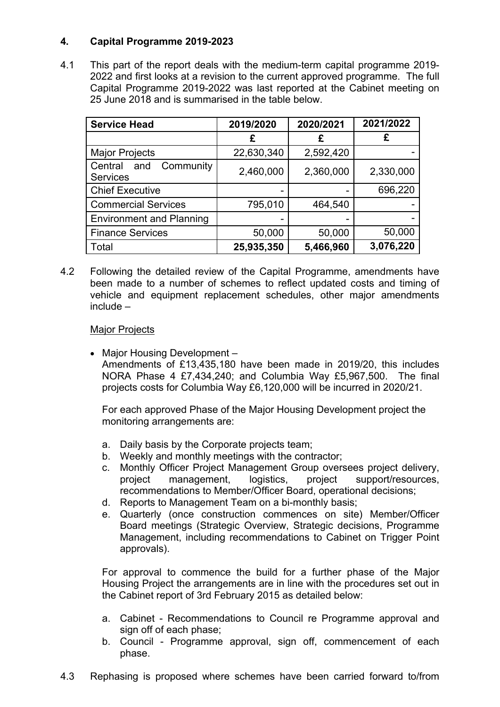# **4. Capital Programme 2019-2023**

4.1 This part of the report deals with the medium-term capital programme 2019- 2022 and first looks at a revision to the current approved programme. The full Capital Programme 2019-2022 was last reported at the Cabinet meeting on 25 June 2018 and is summarised in the table below.

| <b>Service Head</b>                            | 2019/2020  | 2020/2021 | 2021/2022 |
|------------------------------------------------|------------|-----------|-----------|
|                                                | £          | £         | £         |
| <b>Major Projects</b>                          | 22,630,340 | 2,592,420 |           |
| Community<br>Central<br>and<br><b>Services</b> | 2,460,000  | 2,360,000 | 2,330,000 |
| <b>Chief Executive</b>                         |            |           | 696,220   |
| <b>Commercial Services</b>                     | 795,010    | 464,540   |           |
| <b>Environment and Planning</b>                |            |           |           |
| <b>Finance Services</b>                        | 50,000     | 50,000    | 50,000    |
| Total                                          | 25,935,350 | 5,466,960 | 3,076,220 |

4.2 Following the detailed review of the Capital Programme, amendments have been made to a number of schemes to reflect updated costs and timing of vehicle and equipment replacement schedules, other major amendments include –

## Major Projects

• Major Housing Development – Amendments of £13,435,180 have been made in 2019/20, this includes NORA Phase 4 £7,434,240; and Columbia Way £5,967,500. The final projects costs for Columbia Way £6,120,000 will be incurred in 2020/21.

For each approved Phase of the Major Housing Development project the monitoring arrangements are:

- a. Daily basis by the Corporate projects team;
- b. Weekly and monthly meetings with the contractor;
- c. Monthly Officer Project Management Group oversees project delivery, project management, logistics, project support/resources, recommendations to Member/Officer Board, operational decisions;
- d. Reports to Management Team on a bi-monthly basis;
- e. Quarterly (once construction commences on site) Member/Officer Board meetings (Strategic Overview, Strategic decisions, Programme Management, including recommendations to Cabinet on Trigger Point approvals).

For approval to commence the build for a further phase of the Major Housing Project the arrangements are in line with the procedures set out in the Cabinet report of 3rd February 2015 as detailed below:

- a. Cabinet Recommendations to Council re Programme approval and sign off of each phase;
- b. Council Programme approval, sign off, commencement of each phase.
- 4.3 Rephasing is proposed where schemes have been carried forward to/from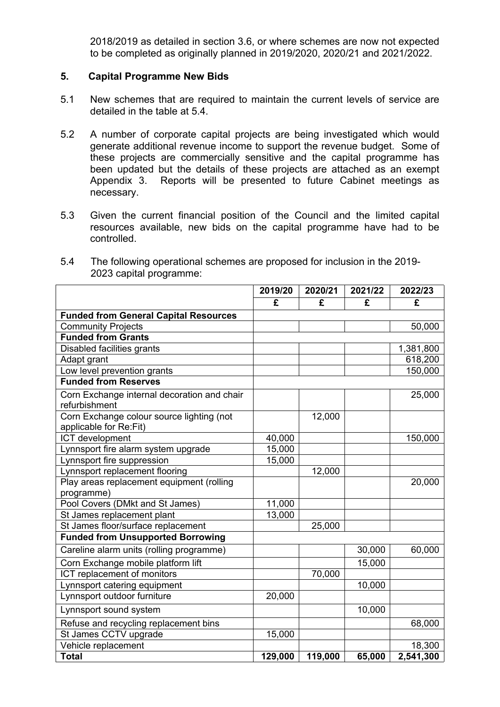2018/2019 as detailed in section 3.6, or where schemes are now not expected to be completed as originally planned in 2019/2020, 2020/21 and 2021/2022.

#### **5. Capital Programme New Bids**

- 5.1 New schemes that are required to maintain the current levels of service are detailed in the table at 5.4.
- 5.2 A number of corporate capital projects are being investigated which would generate additional revenue income to support the revenue budget. Some of these projects are commercially sensitive and the capital programme has been updated but the details of these projects are attached as an exempt Appendix 3. Reports will be presented to future Cabinet meetings as necessary.
- 5.3 Given the current financial position of the Council and the limited capital resources available, new bids on the capital programme have had to be controlled.

| 5.4 | The following operational schemes are proposed for inclusion in the 2019- |
|-----|---------------------------------------------------------------------------|
|     | 2023 capital programme:                                                   |

|                                              | 2019/20 | 2020/21 | 2021/22 | 2022/23   |
|----------------------------------------------|---------|---------|---------|-----------|
|                                              | £       | £       | £       | £         |
| <b>Funded from General Capital Resources</b> |         |         |         |           |
| <b>Community Projects</b>                    |         |         |         | 50,000    |
| <b>Funded from Grants</b>                    |         |         |         |           |
| Disabled facilities grants                   |         |         |         | 1,381,800 |
| Adapt grant                                  |         |         |         | 618,200   |
| Low level prevention grants                  |         |         |         | 150,000   |
| <b>Funded from Reserves</b>                  |         |         |         |           |
| Corn Exchange internal decoration and chair  |         |         |         | 25,000    |
| refurbishment                                |         |         |         |           |
| Corn Exchange colour source lighting (not    |         | 12,000  |         |           |
| applicable for Re:Fit)                       |         |         |         |           |
| ICT development                              | 40,000  |         |         | 150,000   |
| Lynnsport fire alarm system upgrade          | 15,000  |         |         |           |
| Lynnsport fire suppression                   | 15,000  |         |         |           |
| Lynnsport replacement flooring               |         | 12,000  |         |           |
| Play areas replacement equipment (rolling    |         |         |         | 20,000    |
| programme)                                   |         |         |         |           |
| Pool Covers (DMkt and St James)              | 11,000  |         |         |           |
| St James replacement plant                   | 13,000  |         |         |           |
| St James floor/surface replacement           |         | 25,000  |         |           |
| <b>Funded from Unsupported Borrowing</b>     |         |         |         |           |
| Careline alarm units (rolling programme)     |         |         | 30,000  | 60,000    |
| Corn Exchange mobile platform lift           |         |         | 15,000  |           |
| ICT replacement of monitors                  |         | 70,000  |         |           |
| Lynnsport catering equipment                 |         |         | 10,000  |           |
| Lynnsport outdoor furniture                  | 20,000  |         |         |           |
| Lynnsport sound system                       |         |         | 10,000  |           |
| Refuse and recycling replacement bins        |         |         |         | 68,000    |
| St James CCTV upgrade                        | 15,000  |         |         |           |
| Vehicle replacement                          |         |         |         | 18,300    |
| <b>Total</b>                                 | 129,000 | 119,000 | 65,000  | 2,541,300 |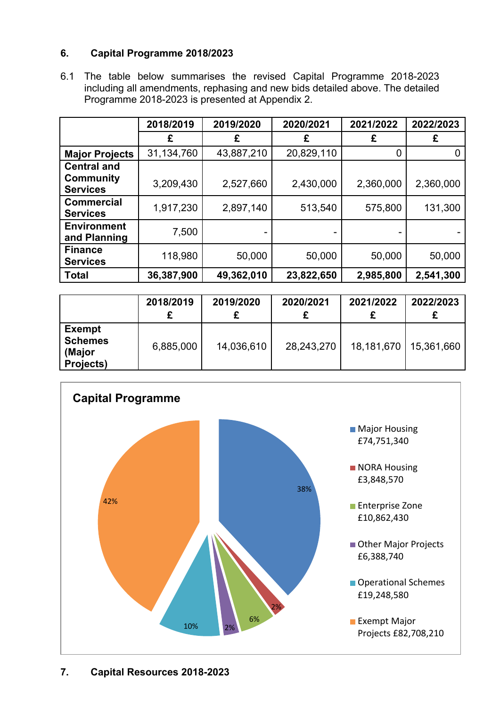# **6. Capital Programme 2018/2023**

6.1 The table below summarises the revised Capital Programme 2018-2023 including all amendments, rephasing and new bids detailed above. The detailed Programme 2018-2023 is presented at Appendix 2.

|                                      | 2018/2019  | 2019/2020  | 2020/2021  | 2021/2022 | 2022/2023 |
|--------------------------------------|------------|------------|------------|-----------|-----------|
|                                      | £          | £          | £          | £         | £         |
| <b>Major Projects</b>                | 31,134,760 | 43,887,210 | 20,829,110 | 0         |           |
| <b>Central and</b>                   |            |            |            |           |           |
| <b>Community</b><br><b>Services</b>  | 3,209,430  | 2,527,660  | 2,430,000  | 2,360,000 | 2,360,000 |
| <b>Commercial</b><br><b>Services</b> | 1,917,230  | 2,897,140  | 513,540    | 575,800   | 131,300   |
| <b>Environment</b><br>and Planning   | 7,500      |            |            |           |           |
| <b>Finance</b><br><b>Services</b>    | 118,980    | 50,000     | 50,000     | 50,000    | 50,000    |
| <b>Total</b>                         | 36,387,900 | 49,362,010 | 23,822,650 | 2,985,800 | 2,541,300 |

|                                                               | 2018/2019 | 2019/2020  | 2020/2021  | 2021/2022  | 2022/2023  |
|---------------------------------------------------------------|-----------|------------|------------|------------|------------|
| <b>Exempt</b><br><b>Schemes</b><br>(Major<br><b>Projects)</b> | 6,885,000 | 14,036,610 | 28,243,270 | 18,181,670 | 15,361,660 |

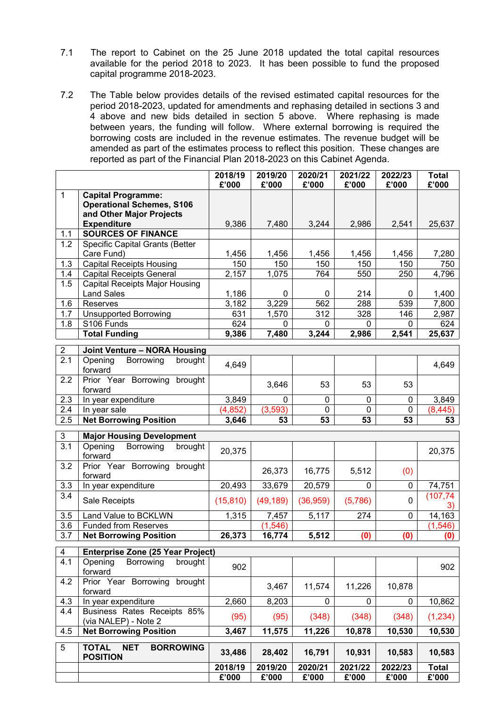- 7.1 The report to Cabinet on the 25 June 2018 updated the total capital resources available for the period 2018 to 2023. It has been possible to fund the proposed capital programme 2018-2023.
- 7.2 The Table below provides details of the revised estimated capital resources for the period 2018-2023, updated for amendments and rephasing detailed in sections 3 and 4 above and new bids detailed in section 5 above. Where rephasing is made between years, the funding will follow. Where external borrowing is required the borrowing costs are included in the revenue estimates. The revenue budget will be amended as part of the estimates process to reflect this position. These changes are reported as part of the Financial Plan 2018-2023 on this Cabinet Agenda.

|                  |                                                                                           | 2018/19<br>£'000 | 2019/20<br>£'000 | 2020/21<br>£'000 | 2021/22<br>£'000 | 2022/23<br>£'000 | <b>Total</b><br>£'000 |
|------------------|-------------------------------------------------------------------------------------------|------------------|------------------|------------------|------------------|------------------|-----------------------|
| $\mathbf{1}$     | <b>Capital Programme:</b><br><b>Operational Schemes, S106</b><br>and Other Major Projects |                  |                  |                  |                  |                  |                       |
|                  | <b>Expenditure</b>                                                                        | 9,386            | 7,480            | 3,244            | 2,986            | 2,541            | 25,637                |
| 1.1              | <b>SOURCES OF FINANCE</b>                                                                 |                  |                  |                  |                  |                  |                       |
| 1.2              | Specific Capital Grants (Better<br>Care Fund)                                             | 1,456            | 1,456            | 1,456            | 1,456            | 1,456            | 7,280                 |
| 1.3              | <b>Capital Receipts Housing</b>                                                           | 150              | 150              | 150              | 150              | 150              | 750                   |
| 1.4              | <b>Capital Receipts General</b>                                                           | 2,157            | 1,075            | 764              | 550              | 250              | 4,796                 |
| 1.5              | <b>Capital Receipts Major Housing</b><br><b>Land Sales</b>                                | 1,186            | 0                | 0                | 214              | 0                | 1,400                 |
| 1.6              | Reserves                                                                                  | 3,182            | 3,229            | 562              | 288              | 539              | 7,800                 |
| 1.7              | <b>Unsupported Borrowing</b>                                                              | 631              | 1,570            | 312              | 328              | 146              | 2,987                 |
| 1.8              | S106 Funds                                                                                | 624              | 0                | $\mathbf{0}$     | 0                | 0                | 624                   |
|                  | <b>Total Funding</b>                                                                      | 9,386            | 7,480            | 3,244            | 2,986            | 2,541            | 25,637                |
| $\overline{2}$   | Joint Venture - NORA Housing                                                              |                  |                  |                  |                  |                  |                       |
| $\overline{2.1}$ | Opening<br>Borrowing<br>brought<br>forward                                                | 4,649            |                  |                  |                  |                  | 4,649                 |
| 2.2              | Prior Year Borrowing brought<br>forward                                                   |                  | 3,646            | 53               | 53               | 53               |                       |
| 2.3              | In year expenditure                                                                       | 3,849            | $\mathbf{0}$     | $\pmb{0}$        | 0                | $\mathbf 0$      | 3,849                 |
| 2.4              | In year sale                                                                              | (4, 852)         | (3,593)          | $\mathbf 0$      | 0                | 0                | (8, 445)              |
| 2.5              | <b>Net Borrowing Position</b>                                                             | 3,646            | 53               | 53               | 53               | 53               | 53                    |
| 3                | <b>Major Housing Development</b>                                                          |                  |                  |                  |                  |                  |                       |
| $\overline{3.1}$ | Opening<br>Borrowing<br>brought<br>forward                                                | 20,375           |                  |                  |                  |                  | 20,375                |
| 3.2              | Prior Year Borrowing brought<br>forward                                                   |                  | 26,373           | 16,775           | 5,512            | (0)              |                       |
| 3.3              | In year expenditure                                                                       | 20,493           | 33,679           | 20,579           | $\Omega$         | 0                | 74,751                |
| 3.4              | Sale Receipts                                                                             | (15, 810)        | (49, 189)        | (36, 959)        | (5,786)          | $\mathbf 0$      | (107, 74)<br>3)       |
| 3.5              | Land Value to BCKLWN                                                                      | 1,315            | 7,457            | 5,117            | 274              | 0                | 14,163                |
| 3.6              | <b>Funded from Reserves</b>                                                               |                  | (1, 546)         |                  |                  |                  | (1, 546)              |
| 3.7              | <b>Net Borrowing Position</b>                                                             | 26,373           | 16,774           | 5,512            | (0)              | (0)              | (0)                   |
| 4                | <b>Enterprise Zone (25 Year Project)</b>                                                  |                  |                  |                  |                  |                  |                       |
| 4.1              | Opening<br>Borrowing<br>brought<br>forward                                                | 902              |                  |                  |                  |                  | 902                   |
| 4.2              | Prior Year Borrowing<br>brought<br>forward                                                |                  | 3,467            | 11,574           | 11,226           | 10,878           |                       |
| 4.3              | In year expenditure                                                                       | 2,660            | 8,203            | 0                | 0                | 0                | 10,862                |
| 4.4              | Business Rates Receipts 85%<br>(via NALEP) - Note 2                                       | (95)             | (95)             | (348)            | (348)            | (348)            | (1, 234)              |
| 4.5              | <b>Net Borrowing Position</b>                                                             | 3,467            | 11,575           | 11,226           | 10,878           | 10,530           | 10,530                |
| 5                | <b>TOTAL</b><br><b>NET</b><br><b>BORROWING</b><br><b>POSITION</b>                         | 33,486           | 28,402           | 16,791           | 10,931           | 10,583           | 10,583                |
|                  |                                                                                           | 2018/19          | 2019/20          | 2020/21          | 2021/22          | 2022/23          | <b>Total</b>          |
|                  |                                                                                           | £'000            | £'000            | £'000            | £'000            | £'000            | £'000                 |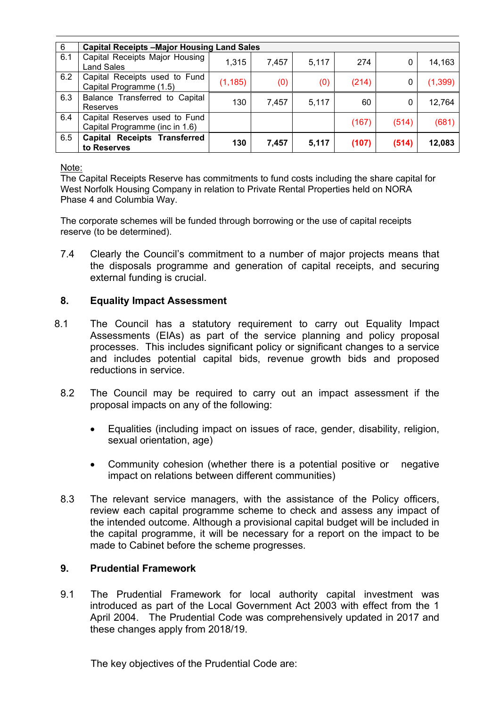| 6   | <b>Capital Receipts -Major Housing Land Sales</b>               |          |       |       |       |       |          |  |  |
|-----|-----------------------------------------------------------------|----------|-------|-------|-------|-------|----------|--|--|
| 6.1 | Capital Receipts Major Housing<br><b>Land Sales</b>             | 1,315    | 7,457 | 5,117 | 274   | 0     | 14,163   |  |  |
| 6.2 | Capital Receipts used to Fund<br>Capital Programme (1.5)        | (1, 185) | (0)   | (0)   | (214) | 0     | (1, 399) |  |  |
| 6.3 | Balance Transferred to Capital<br>Reserves                      | 130      | 7,457 | 5,117 | 60    | 0     | 12,764   |  |  |
| 6.4 | Capital Reserves used to Fund<br>Capital Programme (inc in 1.6) |          |       |       | (167) | (514) | (681)    |  |  |
| 6.5 | <b>Capital Receipts Transferred</b><br>to Reserves              | 130      | 7,457 | 5,117 | (107) | (514) | 12,083   |  |  |

Note:

The Capital Receipts Reserve has commitments to fund costs including the share capital for West Norfolk Housing Company in relation to Private Rental Properties held on NORA Phase 4 and Columbia Way.

The corporate schemes will be funded through borrowing or the use of capital receipts reserve (to be determined).

7.4 Clearly the Council's commitment to a number of major projects means that the disposals programme and generation of capital receipts, and securing external funding is crucial.

# **8. Equality Impact Assessment**

- 8.1 The Council has a statutory requirement to carry out Equality Impact Assessments (EIAs) as part of the service planning and policy proposal processes. This includes significant policy or significant changes to a service and includes potential capital bids, revenue growth bids and proposed reductions in service.
	- 8.2 The Council may be required to carry out an impact assessment if the proposal impacts on any of the following:
		- Equalities (including impact on issues of race, gender, disability, religion, sexual orientation, age)
		- Community cohesion (whether there is a potential positive or negative impact on relations between different communities)
	- 8.3 The relevant service managers, with the assistance of the Policy officers, review each capital programme scheme to check and assess any impact of the intended outcome. Although a provisional capital budget will be included in the capital programme, it will be necessary for a report on the impact to be made to Cabinet before the scheme progresses.

# **9. Prudential Framework**

9.1 The Prudential Framework for local authority capital investment was introduced as part of the Local Government Act 2003 with effect from the 1 April 2004. The Prudential Code was comprehensively updated in 2017 and these changes apply from 2018/19.

The key objectives of the Prudential Code are: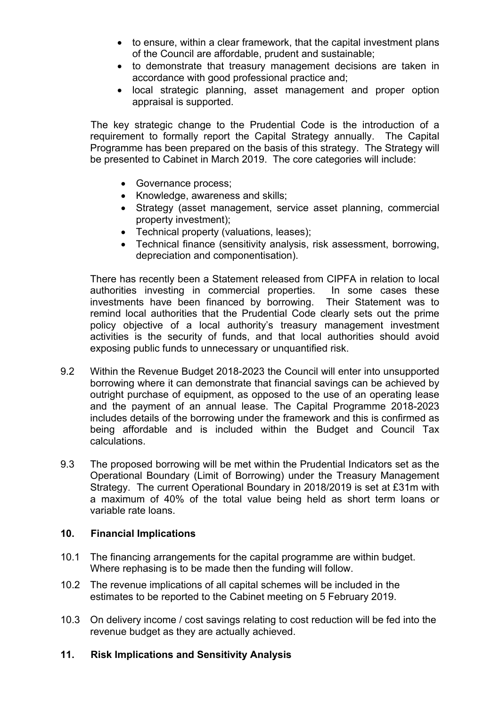- to ensure, within a clear framework, that the capital investment plans of the Council are affordable, prudent and sustainable;
- to demonstrate that treasury management decisions are taken in accordance with good professional practice and;
- local strategic planning, asset management and proper option appraisal is supported.

The key strategic change to the Prudential Code is the introduction of a requirement to formally report the Capital Strategy annually. The Capital Programme has been prepared on the basis of this strategy. The Strategy will be presented to Cabinet in March 2019. The core categories will include:

- Governance process;
- Knowledge, awareness and skills;
- Strategy (asset management, service asset planning, commercial property investment);
- Technical property (valuations, leases);
- Technical finance (sensitivity analysis, risk assessment, borrowing, depreciation and componentisation).

There has recently been a Statement released from CIPFA in relation to local authorities investing in commercial properties. In some cases these investments have been financed by borrowing. Their Statement was to remind local authorities that the Prudential Code clearly sets out the prime policy objective of a local authority's treasury management investment activities is the security of funds, and that local authorities should avoid exposing public funds to unnecessary or unquantified risk.

- 9.2 Within the Revenue Budget 2018-2023 the Council will enter into unsupported borrowing where it can demonstrate that financial savings can be achieved by outright purchase of equipment, as opposed to the use of an operating lease and the payment of an annual lease. The Capital Programme 2018-2023 includes details of the borrowing under the framework and this is confirmed as being affordable and is included within the Budget and Council Tax calculations.
- 9.3 The proposed borrowing will be met within the Prudential Indicators set as the Operational Boundary (Limit of Borrowing) under the Treasury Management Strategy. The current Operational Boundary in 2018/2019 is set at £31m with a maximum of 40% of the total value being held as short term loans or variable rate loans.

## **10. Financial Implications**

- 10.1 The financing arrangements for the capital programme are within budget. Where rephasing is to be made then the funding will follow.
- 10.2 The revenue implications of all capital schemes will be included in the estimates to be reported to the Cabinet meeting on 5 February 2019.
- 10.3 On delivery income / cost savings relating to cost reduction will be fed into the revenue budget as they are actually achieved.

# **11. Risk Implications and Sensitivity Analysis**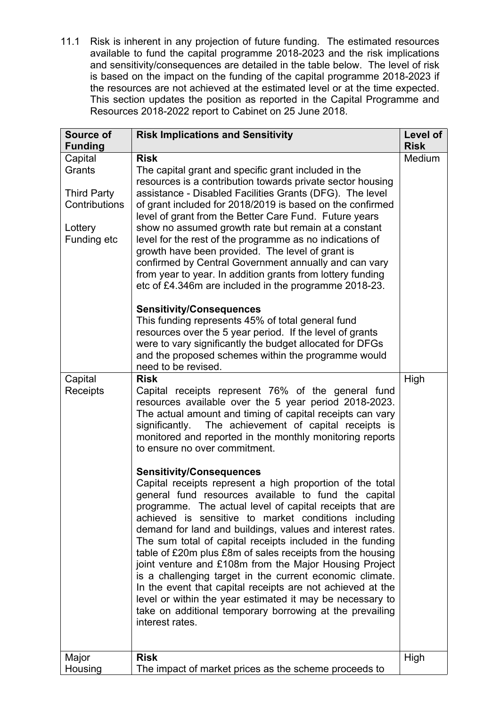11.1 Risk is inherent in any projection of future funding. The estimated resources available to fund the capital programme 2018-2023 and the risk implications and sensitivity/consequences are detailed in the table below. The level of risk is based on the impact on the funding of the capital programme 2018-2023 if the resources are not achieved at the estimated level or at the time expected. This section updates the position as reported in the Capital Programme and Resources 2018-2022 report to Cabinet on 25 June 2018.

| Source of<br><b>Funding</b> | <b>Risk Implications and Sensitivity</b>                   | Level of<br><b>Risk</b> |
|-----------------------------|------------------------------------------------------------|-------------------------|
| Capital                     | <b>Risk</b>                                                | Medium                  |
| Grants                      | The capital grant and specific grant included in the       |                         |
|                             | resources is a contribution towards private sector housing |                         |
| <b>Third Party</b>          | assistance - Disabled Facilities Grants (DFG). The level   |                         |
| Contributions               | of grant included for 2018/2019 is based on the confirmed  |                         |
|                             | level of grant from the Better Care Fund. Future years     |                         |
| Lottery                     | show no assumed growth rate but remain at a constant       |                         |
| Funding etc                 | level for the rest of the programme as no indications of   |                         |
|                             | growth have been provided. The level of grant is           |                         |
|                             | confirmed by Central Government annually and can vary      |                         |
|                             |                                                            |                         |
|                             | from year to year. In addition grants from lottery funding |                         |
|                             | etc of £4.346m are included in the programme 2018-23.      |                         |
|                             | <b>Sensitivity/Consequences</b>                            |                         |
|                             | This funding represents 45% of total general fund          |                         |
|                             | resources over the 5 year period. If the level of grants   |                         |
|                             | were to vary significantly the budget allocated for DFGs   |                         |
|                             | and the proposed schemes within the programme would        |                         |
|                             | need to be revised.                                        |                         |
| Capital                     | <b>Risk</b>                                                | High                    |
| Receipts                    | Capital receipts represent 76% of the general fund         |                         |
|                             | resources available over the 5 year period 2018-2023.      |                         |
|                             | The actual amount and timing of capital receipts can vary  |                         |
|                             | The achievement of capital receipts is<br>significantly.   |                         |
|                             | monitored and reported in the monthly monitoring reports   |                         |
|                             | to ensure no over commitment.                              |                         |
|                             |                                                            |                         |
|                             | <b>Sensitivity/Consequences</b>                            |                         |
|                             | Capital receipts represent a high proportion of the total  |                         |
|                             | general fund resources available to fund the capital       |                         |
|                             | programme. The actual level of capital receipts that are   |                         |
|                             | achieved is sensitive to market conditions including       |                         |
|                             | demand for land and buildings, values and interest rates.  |                         |
|                             | The sum total of capital receipts included in the funding  |                         |
|                             | table of £20m plus £8m of sales receipts from the housing  |                         |
|                             | joint venture and £108m from the Major Housing Project     |                         |
|                             | is a challenging target in the current economic climate.   |                         |
|                             | In the event that capital receipts are not achieved at the |                         |
|                             | level or within the year estimated it may be necessary to  |                         |
|                             | take on additional temporary borrowing at the prevailing   |                         |
|                             | interest rates.                                            |                         |
|                             |                                                            |                         |
| Major                       | <b>Risk</b>                                                | High                    |
| Housing                     | The impact of market prices as the scheme proceeds to      |                         |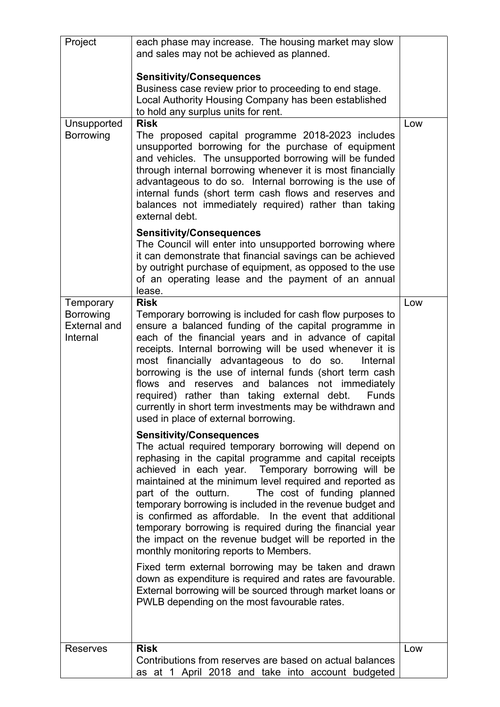| Project<br><b>Unsupported</b><br>Borrowing<br>Temporary | each phase may increase. The housing market may slow<br>and sales may not be achieved as planned.<br><b>Sensitivity/Consequences</b><br>Business case review prior to proceeding to end stage.<br>Local Authority Housing Company has been established<br>to hold any surplus units for rent.<br><b>Risk</b><br>The proposed capital programme 2018-2023 includes<br>unsupported borrowing for the purchase of equipment<br>and vehicles. The unsupported borrowing will be funded<br>through internal borrowing whenever it is most financially<br>advantageous to do so. Internal borrowing is the use of<br>internal funds (short term cash flows and reserves and<br>balances not immediately required) rather than taking<br>external debt.<br><b>Sensitivity/Consequences</b><br>The Council will enter into unsupported borrowing where<br>it can demonstrate that financial savings can be achieved<br>by outright purchase of equipment, as opposed to the use<br>of an operating lease and the payment of an annual<br>lease.<br><b>Risk</b> | Low<br>Low |
|---------------------------------------------------------|--------------------------------------------------------------------------------------------------------------------------------------------------------------------------------------------------------------------------------------------------------------------------------------------------------------------------------------------------------------------------------------------------------------------------------------------------------------------------------------------------------------------------------------------------------------------------------------------------------------------------------------------------------------------------------------------------------------------------------------------------------------------------------------------------------------------------------------------------------------------------------------------------------------------------------------------------------------------------------------------------------------------------------------------------------|------------|
| <b>Borrowing</b><br><b>External and</b><br>Internal     | Temporary borrowing is included for cash flow purposes to<br>ensure a balanced funding of the capital programme in<br>each of the financial years and in advance of capital<br>receipts. Internal borrowing will be used whenever it is<br>most financially advantageous to do so.<br>Internal<br>borrowing is the use of internal funds (short term cash<br>flows and reserves and balances not immediately<br>required) rather than taking external debt.<br>Funds<br>currently in short term investments may be withdrawn and<br>used in place of external borrowing.                                                                                                                                                                                                                                                                                                                                                                                                                                                                               |            |
|                                                         | <b>Sensitivity/Consequences</b><br>The actual required temporary borrowing will depend on<br>rephasing in the capital programme and capital receipts<br>achieved in each year. Temporary borrowing will be<br>maintained at the minimum level required and reported as<br>The cost of funding planned<br>part of the outturn.<br>temporary borrowing is included in the revenue budget and<br>is confirmed as affordable. In the event that additional<br>temporary borrowing is required during the financial year<br>the impact on the revenue budget will be reported in the<br>monthly monitoring reports to Members.<br>Fixed term external borrowing may be taken and drawn<br>down as expenditure is required and rates are favourable.<br>External borrowing will be sourced through market loans or<br>PWLB depending on the most favourable rates.                                                                                                                                                                                           |            |
|                                                         |                                                                                                                                                                                                                                                                                                                                                                                                                                                                                                                                                                                                                                                                                                                                                                                                                                                                                                                                                                                                                                                        |            |
| <b>Reserves</b>                                         | <b>Risk</b><br>Contributions from reserves are based on actual balances<br>as at 1 April 2018 and take into account budgeted                                                                                                                                                                                                                                                                                                                                                                                                                                                                                                                                                                                                                                                                                                                                                                                                                                                                                                                           | Low        |